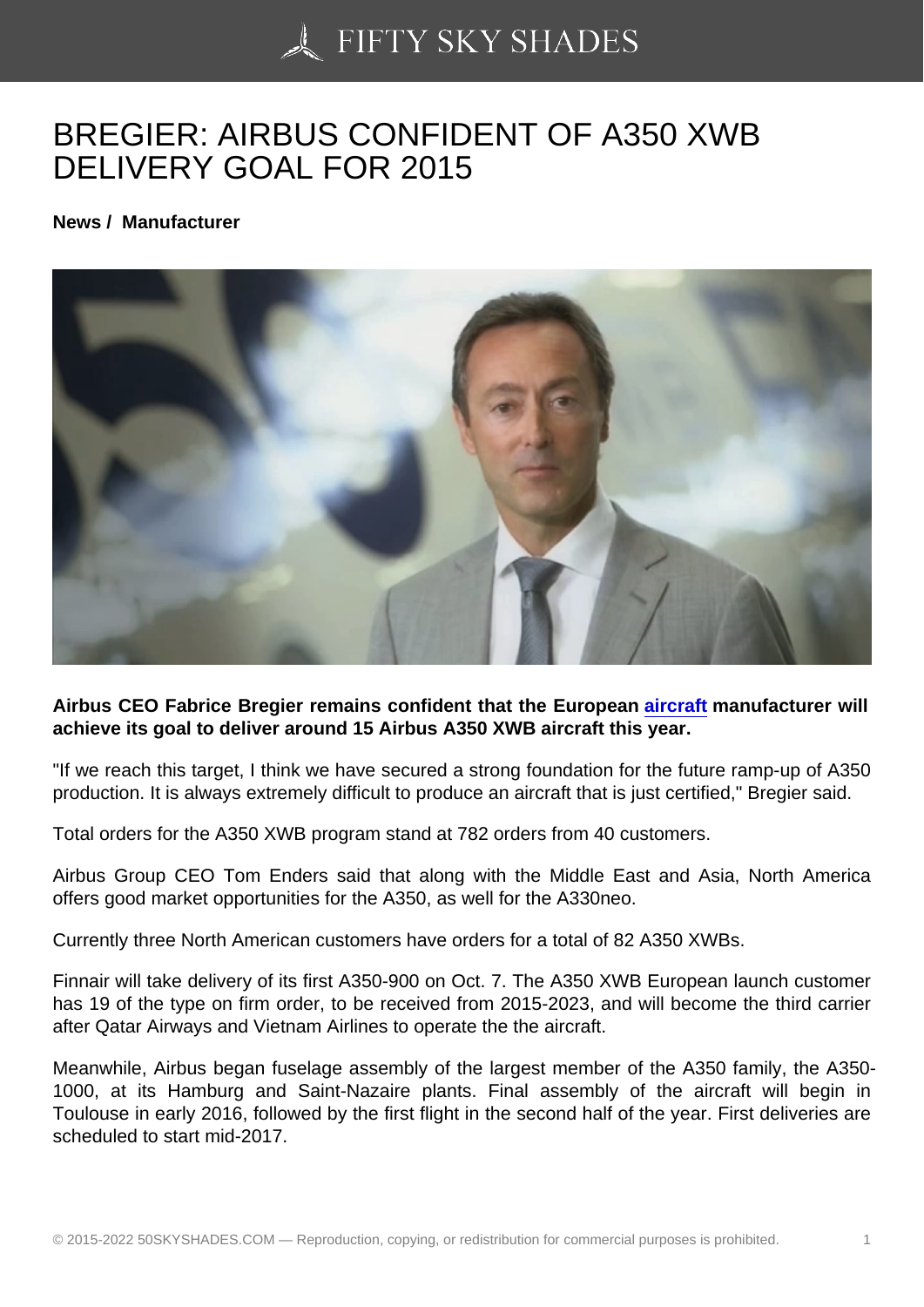## [BREGIER: AIRBUS CO](https://50skyshades.com)NFIDENT OF A350 XWB DELIVERY GOAL FOR 2015

News / Manufacturer

Airbus CEO Fabrice Bregier remains confident that the European aircraft manufacturer will achieve its goal to deliver around 15 Airbus A350 XWB aircraft this year.

"If we reach this target, I think we have secured a strong foundation for [the futu](http://www.wcarn.com/list/ztlist_2_1.html)re ramp-up of A350 production. It is always extremely difficult to produce an aircraft that is just certified," Bregier said.

Total orders for the A350 XWB program stand at 782 orders from 40 customers.

Airbus Group CEO Tom Enders said that along with the Middle East and Asia, North America offers good market opportunities for the A350, as well for the A330neo.

Currently three North American customers have orders for a total of 82 A350 XWBs.

Finnair will take delivery of its first A350-900 on Oct. 7. The A350 XWB European launch customer has 19 of the type on firm order, to be received from 2015-2023, and will become the third carrier after Qatar Airways and Vietnam Airlines to operate the the aircraft.

Meanwhile, Airbus began fuselage assembly of the largest member of the A350 family, the A350- 1000, at its Hamburg and Saint-Nazaire plants. Final assembly of the aircraft will begin in Toulouse in early 2016, followed by the first flight in the second half of the year. First deliveries are scheduled to start mid-2017.